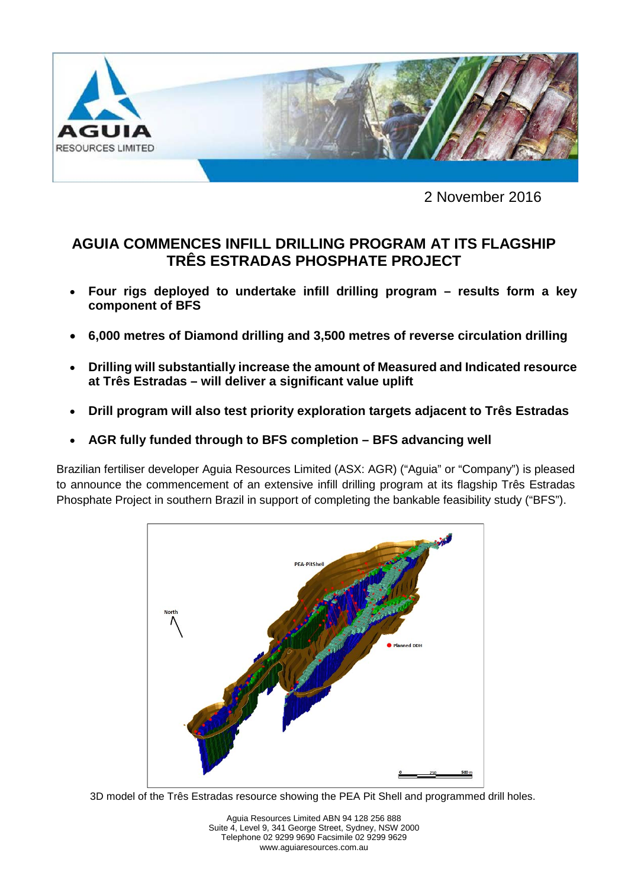

2 November 2016

# **AGUIA COMMENCES INFILL DRILLING PROGRAM AT ITS FLAGSHIP TRÊS ESTRADAS PHOSPHATE PROJECT**

- **Four rigs deployed to undertake infill drilling program – results form a key component of BFS**
- **6,000 metres of Diamond drilling and 3,500 metres of reverse circulation drilling**
- **Drilling will substantially increase the amount of Measured and Indicated resource at Três Estradas – will deliver a significant value uplift**
- **Drill program will also test priority exploration targets adjacent to Três Estradas**
- **AGR fully funded through to BFS completion – BFS advancing well**

Brazilian fertiliser developer Aguia Resources Limited (ASX: AGR) ("Aguia" or "Company") is pleased to announce the commencement of an extensive infill drilling program at its flagship Três Estradas Phosphate Project in southern Brazil in support of completing the bankable feasibility study ("BFS").



3D model of the Três Estradas resource showing the PEA Pit Shell and programmed drill holes.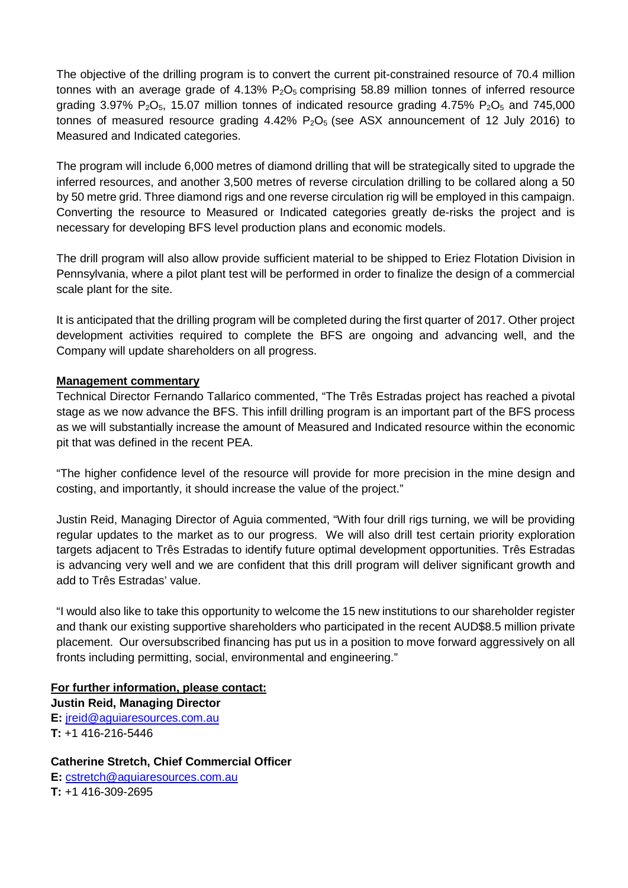The objective of the drilling program is to convert the current pit-constrained resource of 70.4 million tonnes with an average grade of 4.13%  $P_2O_5$  comprising 58.89 million tonnes of inferred resource grading 3.97%  $P_2O_5$ , 15.07 million tonnes of indicated resource grading 4.75%  $P_2O_5$  and 745,000 tonnes of measured resource grading  $4.42\%$  P<sub>2</sub>O<sub>5</sub> (see ASX announcement of 12 July 2016) to Measured and Indicated categories.

The program will include 6,000 metres of diamond drilling that will be strategically sited to upgrade the inferred resources, and another 3,500 metres of reverse circulation drilling to be collared along a 50 by 50 metre grid. Three diamond rigs and one reverse circulation rig will be employed in this campaign. Converting the resource to Measured or Indicated categories greatly de-risks the project and is necessary for developing BFS level production plans and economic models.

The drill program will also allow provide sufficient material to be shipped to Eriez Flotation Division in Pennsylvania, where a pilot plant test will be performed in order to finalize the design of a commercial scale plant for the site.

It is anticipated that the drilling program will be completed during the first quarter of 2017. Other project development activities required to complete the BFS are ongoing and advancing well, and the Company will update shareholders on all progress.

## **Management commentary**

Technical Director Fernando Tallarico commented, "The Três Estradas project has reached a pivotal stage as we now advance the BFS. This infill drilling program is an important part of the BFS process as we will substantially increase the amount of Measured and Indicated resource within the economic pit that was defined in the recent PEA.

"The higher confidence level of the resource will provide for more precision in the mine design and costing, and importantly, it should increase the value of the project."

Justin Reid, Managing Director of Aguia commented, "With four drill rigs turning, we will be providing regular updates to the market as to our progress. We will also drill test certain priority exploration targets adjacent to Três Estradas to identify future optimal development opportunities. Três Estradas is advancing very well and we are confident that this drill program will deliver significant growth and add to Três Estradas' value.

"I would also like to take this opportunity to welcome the 15 new institutions to our shareholder register and thank our existing supportive shareholders who participated in the recent AUD\$8.5 million private placement. Our oversubscribed financing has put us in a position to move forward aggressively on all fronts including permitting, social, environmental and engineering."

# **For further information, please contact:**

**Justin Reid, Managing Director E:** [jreid@aguiaresources.com.au](mailto:jreid@aguiaresources.com.au)  **T:** +1 416-216-5446

# **Catherine Stretch, Chief Commercial Officer**

**E:** [cstretch@aguiaresources.com.au](mailto:cstretch@aguiaresources.com.au) **T:** +1 416-309-2695